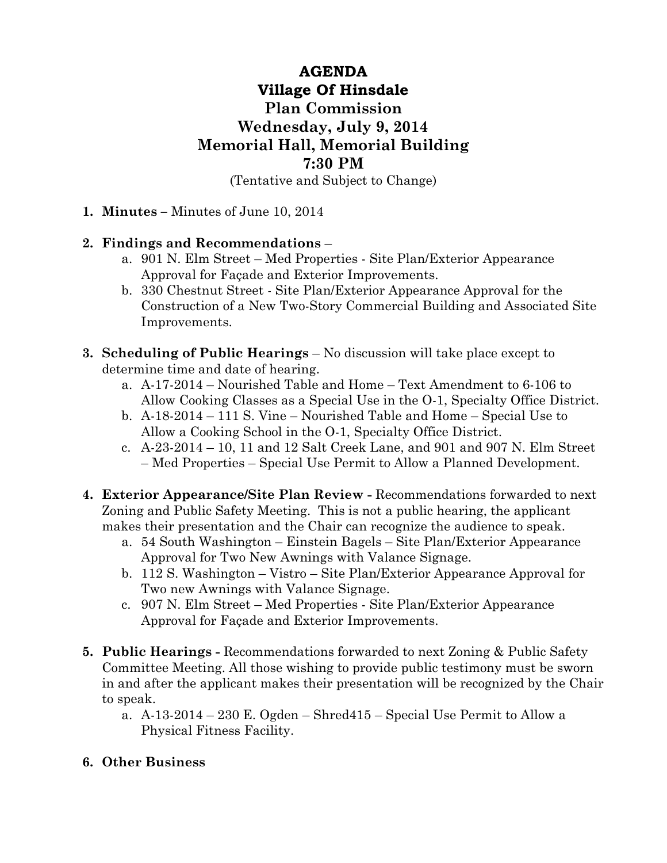## **AGENDA Village Of Hinsdale Plan Commission Wednesday, July 9, 2014 Memorial Hall, Memorial Building 7:30 PM**

(Tentative and Subject to Change)

**1. Minutes –** Minutes of June 10, 2014

## **2. Findings and Recommendations** –

- a. 901 N. Elm Street Med Properties Site Plan/Exterior Appearance Approval for Façade and Exterior Improvements.
- b. 330 Chestnut Street Site Plan/Exterior Appearance Approval for the Construction of a New Two-Story Commercial Building and Associated Site Improvements.
- **3. Scheduling of Public Hearings** No discussion will take place except to determine time and date of hearing.
	- a. A-17-2014 Nourished Table and Home Text Amendment to 6-106 to Allow Cooking Classes as a Special Use in the O-1, Specialty Office District.
	- b. A-18-2014 111 S. Vine Nourished Table and Home Special Use to Allow a Cooking School in the O-1, Specialty Office District.
	- c. A-23-2014 10, 11 and 12 Salt Creek Lane, and 901 and 907 N. Elm Street – Med Properties – Special Use Permit to Allow a Planned Development.
- **4. Exterior Appearance/Site Plan Review** Recommendations forwarded to next Zoning and Public Safety Meeting. This is not a public hearing, the applicant makes their presentation and the Chair can recognize the audience to speak.
	- a. 54 South Washington Einstein Bagels Site Plan/Exterior Appearance Approval for Two New Awnings with Valance Signage.
	- b. 112 S. Washington Vistro Site Plan/Exterior Appearance Approval for Two new Awnings with Valance Signage.
	- c. 907 N. Elm Street Med Properties Site Plan/Exterior Appearance Approval for Façade and Exterior Improvements.
- **5. Public Hearings** Recommendations forwarded to next Zoning & Public Safety Committee Meeting. All those wishing to provide public testimony must be sworn in and after the applicant makes their presentation will be recognized by the Chair to speak.
	- a.  $A-13-2014-230$  E. Ogden Shred $415$  Special Use Permit to Allow a Physical Fitness Facility.

## **6. Other Business**